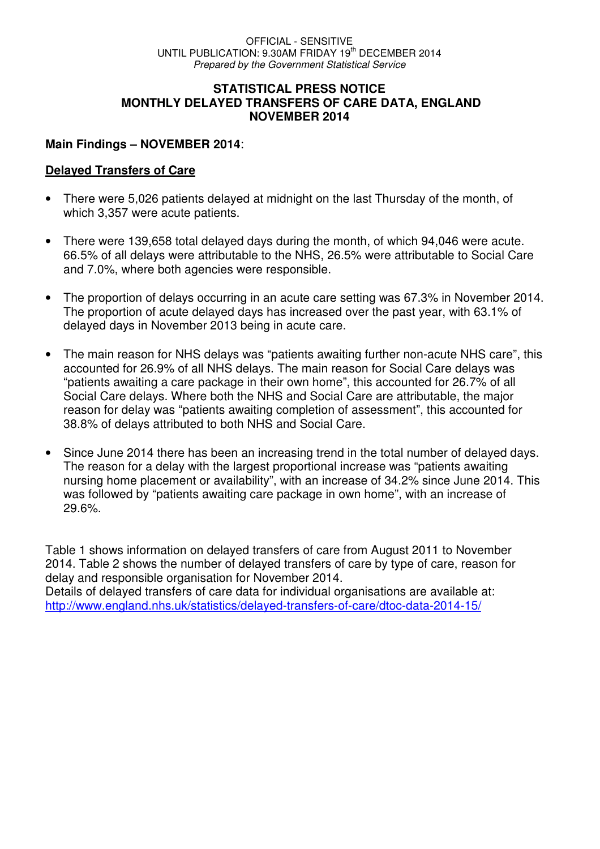#### **STATISTICAL PRESS NOTICE MONTHLY DELAYED TRANSFERS OF CARE DATA, ENGLAND NOVEMBER 2014**

#### **Main Findings – NOVEMBER 2014**:

#### **Delayed Transfers of Care**

- There were 5,026 patients delayed at midnight on the last Thursday of the month, of which 3,357 were acute patients.
- There were 139,658 total delayed days during the month, of which 94,046 were acute. 66.5% of all delays were attributable to the NHS, 26.5% were attributable to Social Care and 7.0%, where both agencies were responsible.
- The proportion of delays occurring in an acute care setting was 67.3% in November 2014. The proportion of acute delayed days has increased over the past year, with 63.1% of delayed days in November 2013 being in acute care.
- The main reason for NHS delays was "patients awaiting further non-acute NHS care", this accounted for 26.9% of all NHS delays. The main reason for Social Care delays was "patients awaiting a care package in their own home", this accounted for 26.7% of all Social Care delays. Where both the NHS and Social Care are attributable, the major reason for delay was "patients awaiting completion of assessment", this accounted for 38.8% of delays attributed to both NHS and Social Care.
- Since June 2014 there has been an increasing trend in the total number of delayed days. The reason for a delay with the largest proportional increase was "patients awaiting nursing home placement or availability", with an increase of 34.2% since June 2014. This was followed by "patients awaiting care package in own home", with an increase of 29.6%.

Table 1 shows information on delayed transfers of care from August 2011 to November 2014. Table 2 shows the number of delayed transfers of care by type of care, reason for delay and responsible organisation for November 2014. Details of delayed transfers of care data for individual organisations are available at: http://www.england.nhs.uk/statistics/delayed-transfers-of-care/dtoc-data-2014-15/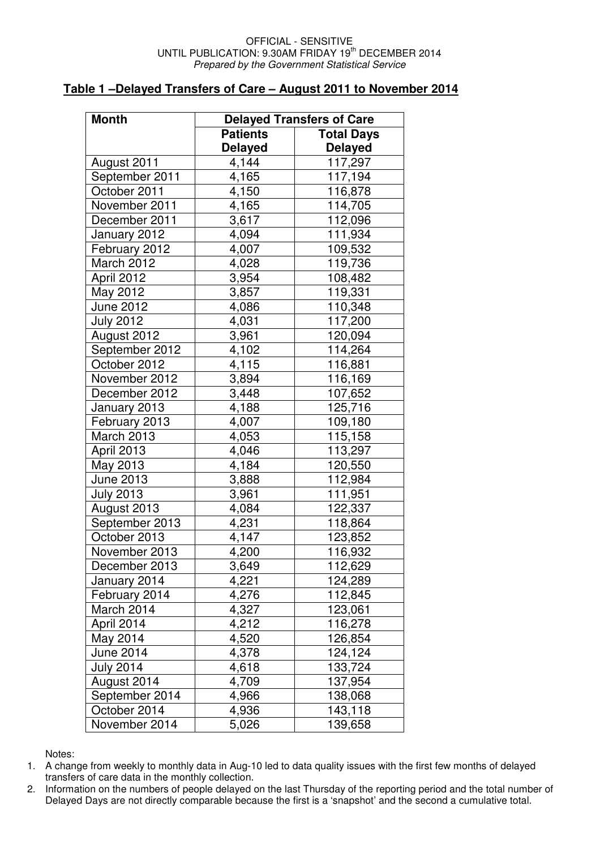#### OFFICIAL - SENSITIVE UNTIL PUBLICATION: 9.30AM FRIDAY 19<sup>th</sup> DECEMBER 2014 Prepared by the Government Statistical Service

#### **Table 1 –Delayed Transfers of Care – August 2011 to November 2014**

| <b>Month</b>      | <b>Delayed Transfers of Care</b> |                   |  |  |  |  |  |
|-------------------|----------------------------------|-------------------|--|--|--|--|--|
|                   | <b>Patients</b>                  | <b>Total Days</b> |  |  |  |  |  |
|                   | <b>Delayed</b>                   | <b>Delayed</b>    |  |  |  |  |  |
| August 2011       | 4,144                            | 117,297           |  |  |  |  |  |
| September 2011    | 4,165                            | 117,194           |  |  |  |  |  |
| October 2011      | 4,150                            | 116,878           |  |  |  |  |  |
| November 2011     | 4,165                            | 114,705           |  |  |  |  |  |
| December 2011     | 3,617                            | 112,096           |  |  |  |  |  |
| January 2012      | 4,094                            | 111,934           |  |  |  |  |  |
| February 2012     | 4,007                            | 109,532           |  |  |  |  |  |
| March 2012        | 4,028                            | 119,736           |  |  |  |  |  |
| April 2012        | 3,954                            | 108,482           |  |  |  |  |  |
| May 2012          | 3,857                            | 119,331           |  |  |  |  |  |
| June 2012         | 4,086                            | 110,348           |  |  |  |  |  |
| <b>July 2012</b>  | 4,031                            | 117,200           |  |  |  |  |  |
| August 2012       | 3,961                            | 120,094           |  |  |  |  |  |
| September 2012    | 4,102                            | 114,264           |  |  |  |  |  |
| October 2012      | 4,115                            | 116,881           |  |  |  |  |  |
| November 2012     | 3,894                            | 116,169           |  |  |  |  |  |
| December 2012     | 3,448                            | 107,652           |  |  |  |  |  |
| January 2013      | 4,188                            | 125,716           |  |  |  |  |  |
| February 2013     | 4,007                            | 109,180           |  |  |  |  |  |
| <b>March 2013</b> | 4,053                            | 115,158           |  |  |  |  |  |
| April 2013        | 4,046                            | 113,297           |  |  |  |  |  |
| May 2013          | 4,184                            | 120,550           |  |  |  |  |  |
| June 2013         | 3,888                            | 112,984           |  |  |  |  |  |
| <b>July 2013</b>  | 3,961                            | 111,951           |  |  |  |  |  |
| August 2013       | 4,084                            | 122,337           |  |  |  |  |  |
| September 2013    | 4,231                            | 118,864           |  |  |  |  |  |
| October 2013      | 4,147                            | 123,852           |  |  |  |  |  |
| November 2013     | 4,200                            | 116,932           |  |  |  |  |  |
| December 2013     | 3,649                            | 112,629           |  |  |  |  |  |
| January 2014      | 4,221                            | 124,289           |  |  |  |  |  |
| February 2014     | 4,276                            | 112,845           |  |  |  |  |  |
| March 2014        | 4,327                            | 123,061           |  |  |  |  |  |
| April 2014        | 4,212                            | 116,278           |  |  |  |  |  |
| May 2014          | 4,520                            | 126,854           |  |  |  |  |  |
| June 2014         | 4,378                            | 124,124           |  |  |  |  |  |
| <b>July 2014</b>  | 4,618                            | 133,724           |  |  |  |  |  |
| August 2014       | 4,709                            | 137,954           |  |  |  |  |  |
| September 2014    | 4,966                            | 138,068           |  |  |  |  |  |
| October 2014      | 4,936                            | 143,118           |  |  |  |  |  |
| November 2014     | 5,026                            | 139,658           |  |  |  |  |  |

Notes:

1. A change from weekly to monthly data in Aug-10 led to data quality issues with the first few months of delayed transfers of care data in the monthly collection.

2. Information on the numbers of people delayed on the last Thursday of the reporting period and the total number of Delayed Days are not directly comparable because the first is a 'snapshot' and the second a cumulative total.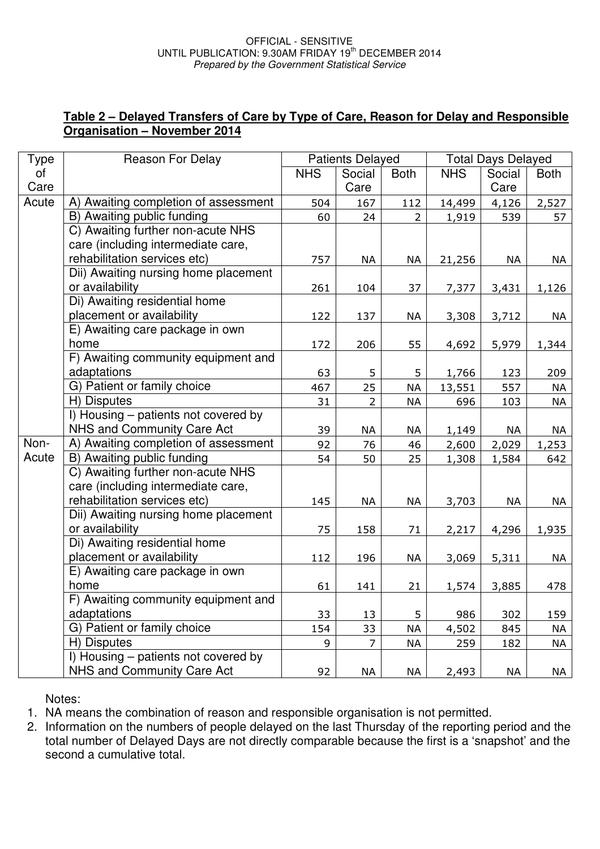## **Table 2 – Delayed Transfers of Care by Type of Care, Reason for Delay and Responsible Organisation – November 2014**

| <b>Type</b> | Reason For Delay                     | <b>Patients Delayed</b> |                |             | <b>Total Days Delayed</b> |        |             |
|-------------|--------------------------------------|-------------------------|----------------|-------------|---------------------------|--------|-------------|
| of          |                                      | <b>NHS</b>              | Social         | <b>Both</b> | <b>NHS</b>                | Social | <b>Both</b> |
| Care        |                                      |                         | Care           |             |                           | Care   |             |
| Acute       | A) Awaiting completion of assessment | 504                     | 167            | 112         | 14,499                    | 4,126  | 2,527       |
|             | B) Awaiting public funding           | 60                      | 24             | 2           | 1,919                     | 539    | 57          |
|             | C) Awaiting further non-acute NHS    |                         |                |             |                           |        |             |
|             | care (including intermediate care,   |                         |                |             |                           |        |             |
|             | rehabilitation services etc)         | 757                     | NA             | <b>NA</b>   | 21,256                    | NA     | NA          |
|             | Dii) Awaiting nursing home placement |                         |                |             |                           |        |             |
|             | or availability                      | 261                     | 104            | 37          | 7,377                     | 3,431  | 1,126       |
|             | Di) Awaiting residential home        |                         |                |             |                           |        |             |
|             | placement or availability            | 122                     | 137            | <b>NA</b>   | 3,308                     | 3,712  | NA          |
|             | E) Awaiting care package in own      |                         |                |             |                           |        |             |
|             | home                                 | 172                     | 206            | 55          | 4,692                     | 5,979  | 1,344       |
|             | F) Awaiting community equipment and  |                         |                |             |                           |        |             |
|             | adaptations                          | 63                      | 5              | 5           | 1,766                     | 123    | 209         |
|             | G) Patient or family choice          | 467                     | 25             | <b>NA</b>   | 13,551                    | 557    | NA          |
|             | H) Disputes                          | 31                      | $\overline{2}$ | <b>NA</b>   | 696                       | 103    | <b>NA</b>   |
|             | I) Housing - patients not covered by |                         |                |             |                           |        |             |
|             | NHS and Community Care Act           | 39                      | NA             | NA          | 1,149                     | NA     | NA          |
| Non-        | A) Awaiting completion of assessment | 92                      | 76             | 46          | 2,600                     | 2,029  | 1,253       |
| Acute       | B) Awaiting public funding           | 54                      | 50             | 25          | 1,308                     | 1,584  | 642         |
|             | C) Awaiting further non-acute NHS    |                         |                |             |                           |        |             |
|             | care (including intermediate care,   |                         |                |             |                           |        |             |
|             | rehabilitation services etc)         | 145                     | <b>NA</b>      | <b>NA</b>   | 3,703                     | NA     | NA          |
|             | Dii) Awaiting nursing home placement |                         |                |             |                           |        |             |
|             | or availability                      | 75                      | 158            | 71          | 2,217                     | 4,296  | 1,935       |
|             | Di) Awaiting residential home        |                         |                |             |                           |        |             |
|             | placement or availability            | 112                     | 196            | <b>NA</b>   | 3,069                     | 5,311  | NA          |
|             | E) Awaiting care package in own      |                         |                |             |                           |        |             |
|             | home                                 | 61                      | 141            | 21          | 1,574                     | 3,885  | 478         |
|             | F) Awaiting community equipment and  |                         |                |             |                           |        |             |
|             | adaptations                          | 33                      | 13             | 5           | 986                       | 302    | 159         |
|             | G) Patient or family choice          | 154                     | 33             | $\sf NA$    | 4,502                     | 845    | ΝA          |
|             | H) Disputes                          | 9                       | $\overline{7}$ | <b>NA</b>   | 259                       | 182    | <b>NA</b>   |
|             | I) Housing – patients not covered by |                         |                |             |                           |        |             |
|             | <b>NHS and Community Care Act</b>    | 92                      | NA             | NA          | 2,493                     | NA     | NA          |

Notes:

1. NA means the combination of reason and responsible organisation is not permitted.

2. Information on the numbers of people delayed on the last Thursday of the reporting period and the total number of Delayed Days are not directly comparable because the first is a 'snapshot' and the second a cumulative total.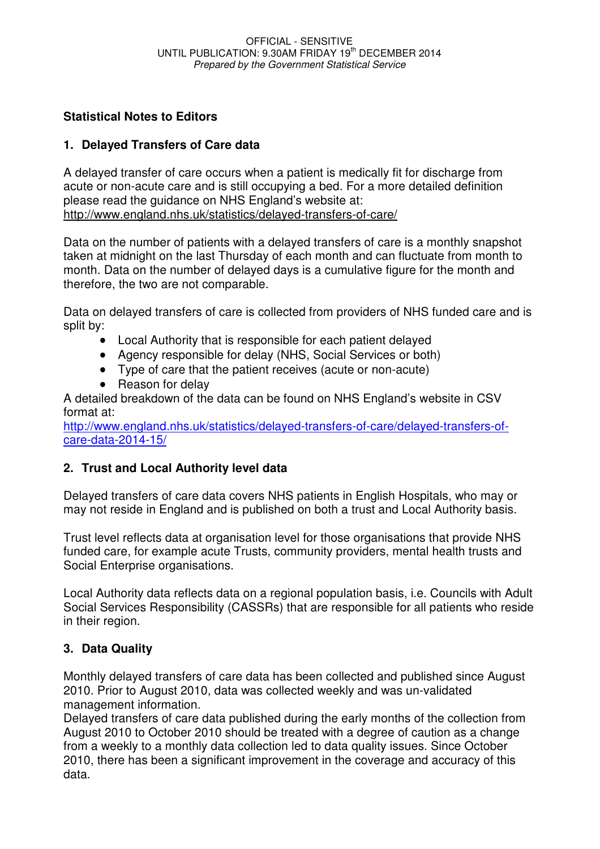# **Statistical Notes to Editors**

## **1. Delayed Transfers of Care data**

A delayed transfer of care occurs when a patient is medically fit for discharge from acute or non-acute care and is still occupying a bed. For a more detailed definition please read the guidance on NHS England's website at: http://www.england.nhs.uk/statistics/delayed-transfers-of-care/

Data on the number of patients with a delayed transfers of care is a monthly snapshot taken at midnight on the last Thursday of each month and can fluctuate from month to month. Data on the number of delayed days is a cumulative figure for the month and therefore, the two are not comparable.

Data on delayed transfers of care is collected from providers of NHS funded care and is split by:

- Local Authority that is responsible for each patient delayed
- Agency responsible for delay (NHS, Social Services or both)
- Type of care that the patient receives (acute or non-acute)
- Reason for delay

A detailed breakdown of the data can be found on NHS England's website in CSV format at:

http://www.england.nhs.uk/statistics/delayed-transfers-of-care/delayed-transfers-ofcare-data-2014-15/

## **2. Trust and Local Authority level data**

Delayed transfers of care data covers NHS patients in English Hospitals, who may or may not reside in England and is published on both a trust and Local Authority basis.

Trust level reflects data at organisation level for those organisations that provide NHS funded care, for example acute Trusts, community providers, mental health trusts and Social Enterprise organisations.

Local Authority data reflects data on a regional population basis, i.e. Councils with Adult Social Services Responsibility (CASSRs) that are responsible for all patients who reside in their region.

# **3. Data Quality**

Monthly delayed transfers of care data has been collected and published since August 2010. Prior to August 2010, data was collected weekly and was un-validated management information.

Delayed transfers of care data published during the early months of the collection from August 2010 to October 2010 should be treated with a degree of caution as a change from a weekly to a monthly data collection led to data quality issues. Since October 2010, there has been a significant improvement in the coverage and accuracy of this data.